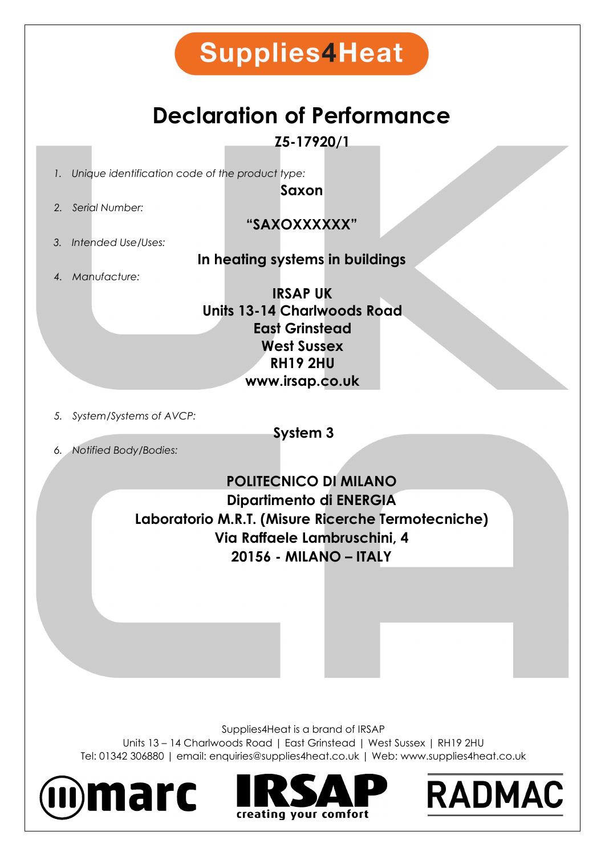

## **Declaration of Performance**

**Z5-17920/1**

*1. Unique identification code of the product type:*

**Saxon**

*2. Serial Number:*

**"SAXOXXXXXX"**

*3. Intended Use/Uses:*

### **In heating systems in buildings**

*4. Manufacture:*

**IRSAP UK Units 13-14 Charlwoods Road East Grinstead West Sussex RH19 2HU www.irsap.co.uk**

*5. System/Systems of AVCP:*

**System 3**

*6. Notified Body/Bodies:*

**POLITECNICO DI MILANO Dipartimento di ENERGIA Laboratorio M.R.T. (Misure Ricerche Termotecniche) Via Raffaele Lambruschini, 4 20156 - MILANO – ITALY**

Supplies4Heat is a brand of IRSAP

Units 13 – 14 Charlwoods Road | East Grinstead | West Sussex | RH19 2HU Tel: 01342 306880 | email: enquiries@supplies4heat.co.uk | Web: www.supplies4heat.co.uk





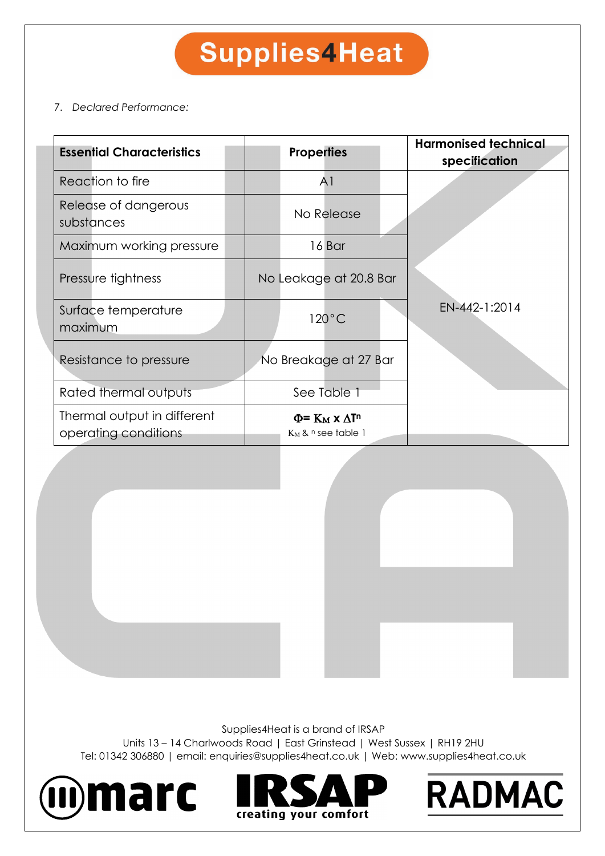# **Supplies4Heat**

#### 7. *Declared Performance:*

| <b>Essential Characteristics</b>                    | <b>Properties</b>                                                   | <b>Harmonised technical</b><br>specification |
|-----------------------------------------------------|---------------------------------------------------------------------|----------------------------------------------|
| Reaction to fire                                    | A <sub>1</sub>                                                      |                                              |
| Release of dangerous<br>substances                  | No Release                                                          |                                              |
| Maximum working pressure                            | 16 Bar                                                              |                                              |
| Pressure tightness                                  | No Leakage at 20.8 Bar                                              |                                              |
| Surface temperature<br>maximum                      | $120^{\circ}$ C                                                     | EN-442-1:2014                                |
| Resistance to pressure                              | No Breakage at 27 Bar                                               |                                              |
| Rated thermal outputs                               | See Table 1                                                         |                                              |
| Thermal output in different<br>operating conditions | $\Phi$ = $K_M$ x $\Delta$ T <sup>n</sup><br>$K_M$ & $n$ see table 1 |                                              |

Supplies4Heat is a brand of IRSAP

Units 13 – 14 Charlwoods Road | East Grinstead | West Sussex | RH19 2HU Tel: 01342 306880 | email: enquiries@supplies4heat.co.uk | Web: www.supplies4heat.co.uk